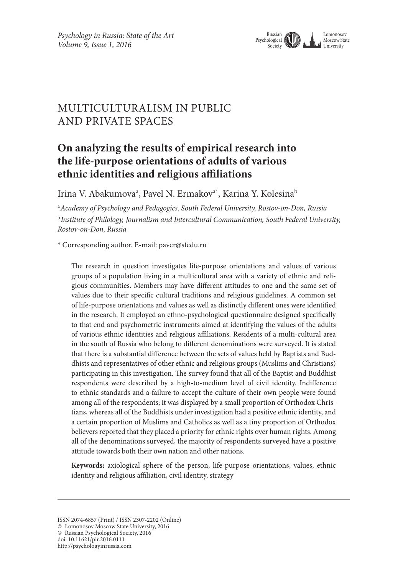

# Multiculturalism in public and private spaces

# **On analyzing the results of empirical research into the life-purpose orientations of adults of various ethnic identities and religious affiliations**

Irina V. Abakumovaª, Pavel N. Ermakov<sup>a\*</sup>, Karina Y. Kolesina<sup>b</sup>

a *Academy of Psychology and Pedagogics, South Federal University, Rostov-on-Don, Russia* <sup>b</sup>*Institute of Philology, Journalism and Intercultural Communication, South Federal University, Rostov-on-Don, Russia*

\* Corresponding author. E-mail: paver@sfedu.ru

The research in question investigates life-purpose orientations and values of various groups of a population living in a multicultural area with a variety of ethnic and religious communities. Members may have different attitudes to one and the same set of values due to their specific cultural traditions and religious guidelines. A common set of life-purpose orientations and values as well as distinctly different ones were identified in the research. It employed an ethno-psychological questionnaire designed specifically to that end and psychometric instruments aimed at identifying the values of the adults of various ethnic identities and religious affiliations. Residents of a multi-cultural area in the south of Russia who belong to different denominations were surveyed. It is stated that there is a substantial difference between the sets of values held by Baptists and Buddhists and representatives of other ethnic and religious groups (Muslims and Christians) participating in this investigation. The survey found that all of the Baptist and Buddhist respondents were described by a high-to-medium level of civil identity. Indifference to ethnic standards and a failure to accept the culture of their own people were found among all of the respondents; it was displayed by a small proportion of Orthodox Christians, whereas all of the Buddhists under investigation had a positive ethnic identity, and a certain proportion of Muslims and Catholics as well as a tiny proportion of Orthodox believers reported that they placed a priority for ethnic rights over human rights. Among all of the denominations surveyed, the majority of respondents surveyed have a positive attitude towards both their own nation and other nations.

**Keywords:** axiological sphere of the person, life-purpose orientations, values, ethnic identity and religious affiliation, civil identity, strategy

ISSN 2074-6857 (Print) / ISSN 2307-2202 (Online)

<sup>©</sup> Lomonosov Moscow State University, 2016

<sup>©</sup> Russian Psychological Society, 2016

doi: 10.11621/pir.2016.0111

http://psychologyinrussia.com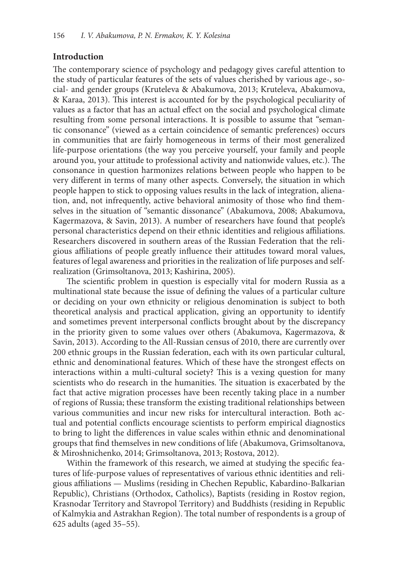### **Introduction**

The contemporary science of psychology and pedagogy gives careful attention to the study of particular features of the sets of values cherished by various age-, social- and gender groups (Kruteleva & Abakumova, 2013; Kruteleva, Abakumova, & Karaa, 2013). This interest is accounted for by the psychological peculiarity of values as a factor that has an actual effect on the social and psychological climate resulting from some personal interactions. It is possible to assume that "semantic consonance" (viewed as a certain coincidence of semantic preferences) occurs in communities that are fairly homogeneous in terms of their most generalized life-purpose orientations (the way you perceive yourself, your family and people around you, your attitude to professional activity and nationwide values, etc.). The consonance in question harmonizes relations between people who happen to be very different in terms of many other aspects. Conversely, the situation in which people happen to stick to opposing values results in the lack of integration, alienation, and, not infrequently, active behavioral animosity of those who find themselves in the situation of "semantic dissonance" (Abakumova, 2008; Abakumova, Kagermazova, & Savin, 2013). A number of researchers have found that people's personal characteristics depend on their ethnic identities and religious affiliations. Researchers discovered in southern areas of the Russian Federation that the religious affiliations of people greatly influence their attitudes toward moral values, features of legal awareness and priorities in the realization of life purposes and selfrealization (Grimsoltanova, 2013; Kashirina, 2005).

The scientific problem in question is especially vital for modern Russia as a multinational state because the issue of defining the values of a particular culture or deciding on your own ethnicity or religious denomination is subject to both theoretical analysis and practical application, giving an opportunity to identify and sometimes prevent interpersonal conflicts brought about by the discrepancy in the priority given to some values over others (Abakumova, Kagermazova, & Savin, 2013). According to the All-Russian census of 2010, there are currently over 200 ethnic groups in the Russian federation, each with its own particular cultural, ethnic and denominational features. Which of these have the strongest effects on interactions within a multi-cultural society? This is a vexing question for many scientists who do research in the humanities. The situation is exacerbated by the fact that active migration processes have been recently taking place in a number of regions of Russia; these transform the existing traditional relationships between various communities and incur new risks for intercultural interaction. Both actual and potential conflicts encourage scientists to perform empirical diagnostics to bring to light the differences in value scales within ethnic and denominational groups that find themselves in new conditions of life (Abakumova, Grimsoltanova, & Miroshnichenko, 2014; Grimsoltanova, 2013; Rostova, 2012).

Within the framework of this research, we aimed at studying the specific features of life-purpose values of representatives of various ethnic identities and religious affiliations — Muslims (residing in Chechen Republic, Kabardino-Balkarian Republic), Christians (Orthodox, Catholics), Baptists (residing in Rostov region, Krasnodar Territory and Stavropol Territory) and Buddhists (residing in Republic of Kalmykia and Astrakhan Region). The total number of respondents is a group of 625 adults (aged 35–55).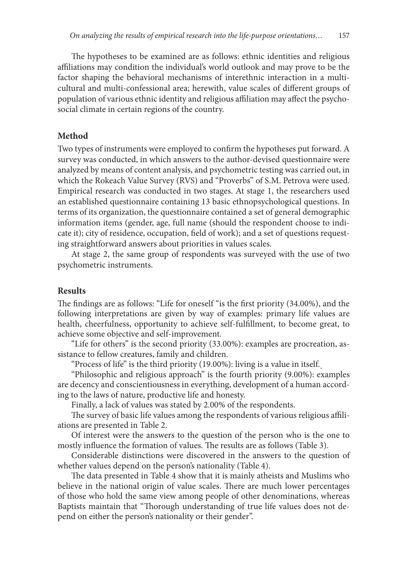The hypotheses to be examined are as follows: ethnic identities and religious affiliations may condition the individual's world outlook and may prove to be the factor shaping the behavioral mechanisms of interethnic interaction in a multicultural and multi-confessional area; herewith, value scales of different groups of population of various ethnic identity and religious affiliation may affect the psychosocial climate in certain regions of the country.

#### **Method**

Two types of instruments were employed to confirm the hypotheses put forward. A survey was conducted, in which answers to the author-devised questionnaire were analyzed by means of content analysis, and psychometric testing was carried out, in which the Rokeach Value Survey (RVS) and "Proverbs" of S.M. Petrova were used. Empirical research was conducted in two stages. At stage 1, the researchers used an established questionnaire containing 13 basic ethnopsychological questions. In terms of its organization, the questionnaire contained a set of general demographic information items (gender, age, full name (should the respondent choose to indicate it); city of residence, occupation, field of work); and a set of questions requesting straightforward answers about priorities in values scales.

At stage 2, the same group of respondents was surveyed with the use of two psychometric instruments.

#### **Results**

The findings are as follows: "Life for oneself "is the first priority (34.00%), and the following interpretations are given by way of examples: primary life values are health, cheerfulness, opportunity to achieve self-fulfillment, to become great, to achieve some objective and self-improvement.

"Life for others" is the second priority (33.00%): examples are procreation, assistance to fellow creatures, family and children.

"Process of life" is the third priority (19.00%): living is a value in itself.

"Philosophic and religious approach" is the fourth priority (9.00%): examples are decency and conscientiousness in everything, development of a human according to the laws of nature, productive life and honesty.

Finally, a lack of values was stated by 2.00% of the respondents.

The survey of basic life values among the respondents of various religious affiliations are presented in Table 2.

Of interest were the answers to the question of the person who is the one to mostly influence the formation of values. The results are as follows (Table 3).

Considerable distinctions were discovered in the answers to the question of whether values depend on the person's nationality (Table 4).

The data presented in Table 4 show that it is mainly atheists and Muslims who believe in the national origin of value scales. There are much lower percentages of those who hold the same view among people of other denominations, whereas Baptists maintain that "Thorough understanding of true life values does not depend on either the person's nationality or their gender".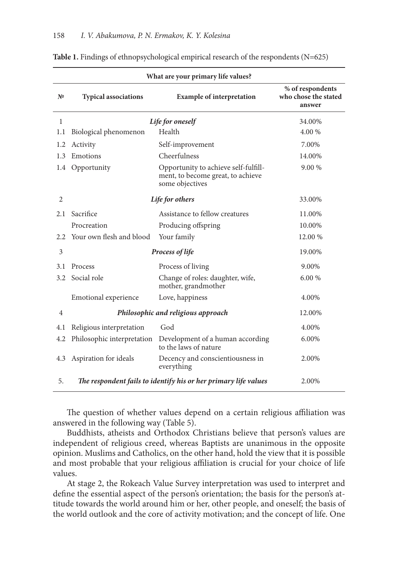|                | What are your primary life values? |                                                                                              |                                                    |  |
|----------------|------------------------------------|----------------------------------------------------------------------------------------------|----------------------------------------------------|--|
| N <sup>o</sup> | <b>Typical associations</b>        | <b>Example of interpretation</b>                                                             | % of respondents<br>who chose the stated<br>answer |  |
| $\mathbf{1}$   |                                    | Life for oneself                                                                             | 34.00%                                             |  |
| 1.1            | Biological phenomenon              | Health                                                                                       | 4.00 %                                             |  |
| 1.2            | Activity                           | Self-improvement                                                                             | 7.00%                                              |  |
| 1.3            | Emotions                           | Cheerfulness                                                                                 | 14.00%                                             |  |
| 1.4            | Opportunity                        | Opportunity to achieve self-fulfill-<br>ment, to become great, to achieve<br>some objectives | 9.00 %                                             |  |
| $\overline{2}$ | Life for others                    |                                                                                              | 33.00%                                             |  |
| 2.1            | Sacrifice                          | Assistance to fellow creatures                                                               | 11.00%                                             |  |
|                | Procreation                        | Producing offspring                                                                          | 10.00%                                             |  |
| 2.2            | Your own flesh and blood           | Your family                                                                                  | 12.00 %                                            |  |
| 3              | Process of life                    |                                                                                              | 19.00%                                             |  |
| 3.1            | Process                            | Process of living                                                                            | 9.00%                                              |  |
| 3.2            | Social role                        | Change of roles: daughter, wife,<br>mother, grandmother                                      | 6.00 %                                             |  |
|                | Emotional experience               | Love, happiness                                                                              | 4.00%                                              |  |
| 4              | Philosophic and religious approach |                                                                                              | 12.00%                                             |  |
| 4.1            | Religious interpretation           | God                                                                                          | 4.00%                                              |  |
| 4.2            | Philosophic interpretation         | Development of a human according<br>to the laws of nature                                    | 6.00%                                              |  |
| 4.3            | Aspiration for ideals              | Decency and conscientiousness in<br>everything                                               | 2.00%                                              |  |
| 5.             |                                    | The respondent fails to identify his or her primary life values                              | 2.00%                                              |  |

**Table 1.** Findings of ethnopsychological empirical research of the respondents (N=625)

The question of whether values depend on a certain religious affiliation was answered in the following way (Table 5).

Buddhists, atheists and Orthodox Christians believe that person's values are independent of religious creed, whereas Baptists are unanimous in the opposite opinion. Muslims and Catholics, on the other hand, hold the view that it is possible and most probable that your religious affiliation is crucial for your choice of life values.

At stage 2, the Rokeach Value Survey interpretation was used to interpret and define the essential aspect of the person's orientation; the basis for the person's attitude towards the world around him or her, other people, and oneself; the basis of the world outlook and the core of activity motivation; and the concept of life. One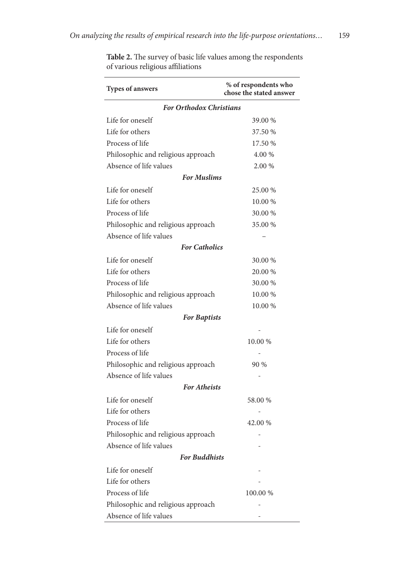| Types of answers                   | % of respondents who<br>chose the stated answer |  |  |
|------------------------------------|-------------------------------------------------|--|--|
| <b>For Orthodox Christians</b>     |                                                 |  |  |
| Life for oneself                   | 39.00 %                                         |  |  |
| Life for others                    | 37.50 %                                         |  |  |
| Process of life                    | 17.50 %                                         |  |  |
| Philosophic and religious approach | 4.00 %                                          |  |  |
| Absence of life values             | 2.00 %                                          |  |  |
| <b>For Muslims</b>                 |                                                 |  |  |
| Life for oneself                   | 25.00 %                                         |  |  |
| Life for others                    | 10.00 %                                         |  |  |
| Process of life                    | 30.00 %                                         |  |  |
| Philosophic and religious approach | 35.00 %                                         |  |  |
| Absence of life values             |                                                 |  |  |
| <b>For Catholics</b>               |                                                 |  |  |
| Life for oneself                   | 30.00 %                                         |  |  |
| Life for others                    | 20.00 %                                         |  |  |
| Process of life                    | 30.00 %                                         |  |  |
| Philosophic and religious approach | 10.00 %                                         |  |  |
| Absence of life values             | 10.00 %                                         |  |  |
| <b>For Baptists</b>                |                                                 |  |  |
| Life for oneself                   |                                                 |  |  |
| Life for others                    | 10.00 %                                         |  |  |
| Process of life                    |                                                 |  |  |
| Philosophic and religious approach | 90 %                                            |  |  |
| Absence of life values             |                                                 |  |  |
| <b>For Atheists</b>                |                                                 |  |  |
| Life for oneself                   | 58.00 %                                         |  |  |
| Life for others                    |                                                 |  |  |
| Process of life                    | 42.00 %                                         |  |  |
| Philosophic and religious approach |                                                 |  |  |
| Absence of life values             |                                                 |  |  |
| <b>For Buddhists</b>               |                                                 |  |  |
| Life for oneself                   |                                                 |  |  |
| Life for others                    |                                                 |  |  |
| Process of life                    | 100.00 %                                        |  |  |
| Philosophic and religious approach |                                                 |  |  |
| Absence of life values             |                                                 |  |  |

**Table 2.** The survey of basic life values among the respondents of various religious affiliations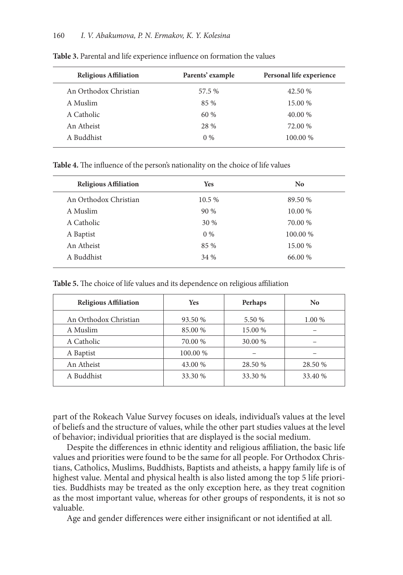| <b>Religious Affiliation</b> | Parents' example | Personal life experience |
|------------------------------|------------------|--------------------------|
| An Orthodox Christian        | 57.5 %           | 42.50 %                  |
| A Muslim                     | 85 %             | 15.00 %                  |
| A Catholic                   | 60%              | 40.00 %                  |
| An Atheist                   | 28 %             | 72.00 %                  |
| A Buddhist                   | $0\%$            | 100.00 %                 |

**Table 3.** Parental and life experience influence on formation the values

**Table 4.** The influence of the person's nationality on the choice of life values

| <b>Religious Affiliation</b> | <b>Yes</b> | N <sub>0</sub> |
|------------------------------|------------|----------------|
| An Orthodox Christian        | 10.5 %     | 89.50 %        |
| A Muslim                     | 90%        | 10.00 %        |
| A Catholic                   | 30 %       | 70.00 %        |
| A Baptist                    | $0\%$      | 100.00 %       |
| An Atheist                   | 85 %       | 15.00 %        |
| A Buddhist                   | 34 %       | 66.00 %        |
|                              |            |                |

**Table 5.** The choice of life values and its dependence on religious affiliation

| <b>Religious Affiliation</b> | <b>Yes</b> | Perhaps | N <sub>0</sub> |
|------------------------------|------------|---------|----------------|
| An Orthodox Christian        | 93.50 %    | 5.50 %  | 1.00 %         |
| A Muslim                     | 85.00 %    | 15.00 % |                |
| A Catholic                   | 70.00 %    | 30.00 % |                |
| A Baptist                    | 100.00 %   |         |                |
| An Atheist                   | 43.00 %    | 28.50 % | 28.50 %        |
| A Buddhist                   | 33.30 %    | 33.30 % | 33.40 %        |

part of the Rokeach Value Survey focuses on ideals, individual's values at the level of beliefs and the structure of values, while the other part studies values at the level of behavior; individual priorities that are displayed is the social medium.

Despite the differences in ethnic identity and religious affiliation, the basic life values and priorities were found to be the same for all people. For Orthodox Christians, Catholics, Muslims, Buddhists, Baptists and atheists, a happy family life is of highest value. Mental and physical health is also listed among the top 5 life priorities. Buddhists may be treated as the only exception here, as they treat cognition as the most important value, whereas for other groups of respondents, it is not so valuable.

Age and gender differences were either insignificant or not identified at all.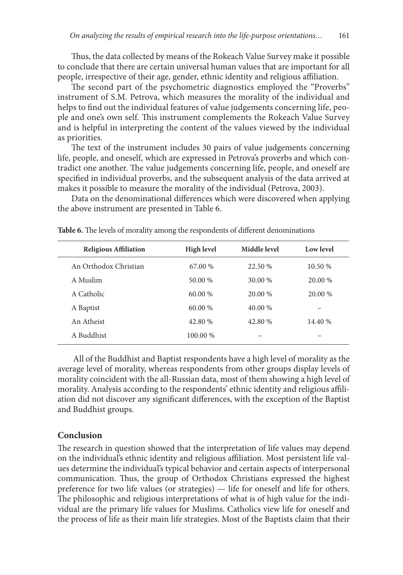Thus, the data collected by means of the Rokeach Value Survey make it possible to conclude that there are certain universal human values that are important for all people, irrespective of their age, gender, ethnic identity and religious affiliation.

The second part of the psychometric diagnostics employed the "Proverbs" instrument of S.M. Petrova, which measures the morality of the individual and helps to find out the individual features of value judgements concerning life, people and one's own self. This instrument complements the Rokeach Value Survey and is helpful in interpreting the content of the values viewed by the individual as priorities.

The text of the instrument includes 30 pairs of value judgements concerning life, people, and oneself, which are expressed in Petrova's proverbs and which contradict one another. The value judgements concerning life, people, and oneself are specified in individual proverbs, and the subsequent analysis of the data arrived at makes it possible to measure the morality of the individual (Petrova, 2003).

Data on the denominational differences which were discovered when applying the above instrument are presented in Table 6.

| <b>Religious Affiliation</b> | <b>High level</b> | Middle level | Low level |
|------------------------------|-------------------|--------------|-----------|
| An Orthodox Christian        | 67.00 %           | 22.50 %      | 10.50 %   |
| A Muslim                     | 50.00 %           | 30.00 %      | 20.00 %   |
| A Catholic                   | $60.00\%$         | 20.00 %      | 20.00 %   |
| A Baptist                    | 60.00 %           | 40.00 %      |           |
| An Atheist                   | 42.80 %           | 42.80 %      | 14.40 %   |
| A Buddhist                   | 100.00 %          |              |           |

**Table 6.** The levels of morality among the respondents of different denominations

 All of the Buddhist and Baptist respondents have a high level of morality as the average level of morality, whereas respondents from other groups display levels of morality coincident with the all-Russian data, most of them showing a high level of morality. Analysis according to the respondents' ethnic identity and religious affiliation did not discover any significant differences, with the exception of the Baptist and Buddhist groups.

#### **Conclusion**

The research in question showed that the interpretation of life values may depend on the individual's ethnic identity and religious affiliation. Most persistent life values determine the individual's typical behavior and certain aspects of interpersonal communication. Thus, the group of Orthodox Christians expressed the highest preference for two life values (or strategies) — life for oneself and life for others. The philosophic and religious interpretations of what is of high value for the individual are the primary life values for Muslims. Catholics view life for oneself and the process of life as their main life strategies. Most of the Baptists claim that their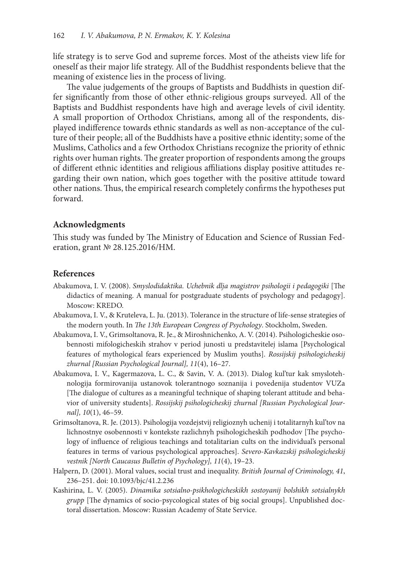life strategy is to serve God and supreme forces. Most of the atheists view life for oneself as their major life strategy. All of the Buddhist respondents believe that the meaning of existence lies in the process of living.

The value judgements of the groups of Baptists and Buddhists in question differ significantly from those of other ethnic-religious groups surveyed. All of the Baptists and Buddhist respondents have high and average levels of civil identity. A small proportion of Orthodox Christians, among all of the respondents, displayed indifference towards ethnic standards as well as non-acceptance of the culture of their people; all of the Buddhists have a positive ethnic identity; some of the Muslims, Catholics and a few Orthodox Christians recognize the priority of ethnic rights over human rights. The greater proportion of respondents among the groups of different ethnic identities and religious affiliations display positive attitudes regarding their own nation, which goes together with the positive attitude toward other nations. Thus, the empirical research completely confirms the hypotheses put forward.

## **Acknowledgments**

This study was funded by The Ministry of Education and Science of Russian Federation, grant № 28.125.2016/НМ.

### **References**

- Abakumova, I. V. (2008). *Smyslodidaktika. Uchebnik dlja magistrov psihologii i pedagogiki* [The didactics of meaning. A manual for postgraduate students of psychology and pedagogy]. Moscow: KREDO.
- Abakumova, I. V., & Kruteleva, L. Ju. (2013). Tolerance in the structure of life-sense strategies of the modern youth. In *The 13th European Congress of Psychology*. Stockholm, Sweden.
- Abakumova, I. V., Grimsoltanova, R. Je., & Miroshnichenko, A. V. (2014). Psihologicheskie osobennosti mifologicheskih strahov v period junosti u predstavitelej islama [Psychological features of mythological fears experienced by Muslim youths]. *Rossijskij psihologicheskij zhurnal [Russian Psychological Journal], 11*(4), 16–27.
- Abakumova, I. V., Kagermazova, L. C., & Savin, V. A. (2013). Dialog kul'tur kak smyslotehnologija formirovanija ustanovok tolerantnogo soznanija i povedenija studentov VUZa [The dialogue of cultures as a meaningful technique of shaping tolerant attitude and behavior of university students]. *Rossijskij psihologicheskij zhurnal [Russian Psychological Journal], 10*(1), 46–59.
- Grimsoltanova, R. Je. (2013). Psihologija vozdejstvij religioznyh uchenij i totalitarnyh kul'tov na lichnostnye osobennosti v kontekste razlichnyh psihologicheskih podhodov [The psychology of influence of religious teachings and totalitarian cults on the individual's personal features in terms of various psychological approaches]. *Severo-Kavkazskij psihologicheskij vestnik [North Caucasus Bulletin of Psychology], 11*(4), 19–23.
- Halpern, D. (2001). Moral values, social trust and inequality. *British Journal of Criminology, 41*, 236–251. doi: 10.1093/bjc/41.2.236
- Kashirina, L. V. (2005). *Dinamika sotsialno-psikhologicheskikh sostoyanij bolshikh sotsialnykh grupp* [The dynamics of socio-psycological states of big social groups]. Unpublished doctoral dissertation. Moscow: Russian Academy of State Service.